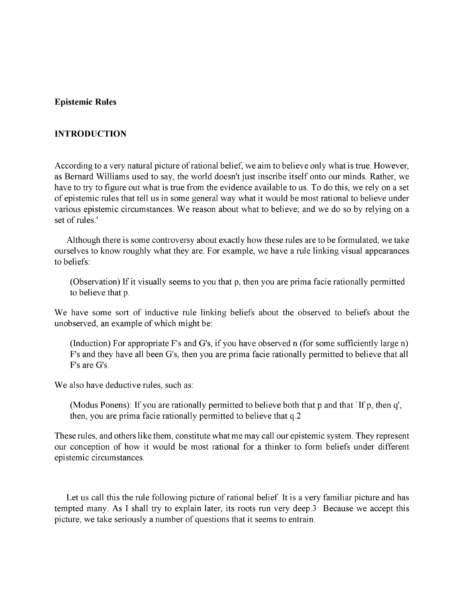#### Epistemic Rules

#### INTRODUCTION

According to a very natural picture of rational belief, we aim to believe only what is true. However, as Bernard Williams used to say, the world doesn't just inscribe itself onto our minds. Rather, we have to try to figure out what is true from the evidence available to us. To do this, we rely on a set of epistemic rules that tell us in some general way what it would be most rational to believe under various epistemic circumstances. We reason about what to believe; and we do so by relying on a set of rules.'

Although there issome controversy about exactly how these rules are to be formulated, we take ourselves to know roughly what they are. For example, we have a rule linking visual appearances to beliefs:

(Observation) If it visually seems to you that p, then you are prima facie rationally permitted to believe that p.

We have some sort of inductive rule linking beliefs about the observed to beliefs about the unobserved, an example of which might be:

(Induction) For appropriate F's and G's, if you have observed n (for some sufficiently large n) F's and they have all been G's, then you are prima facie rationally permitted to believe that all F's are G's.

We also have deductive rules, such as:

(Modus Ponens): If you are rationally permitted to believe both that p and that 'If p, then q', then, you are prima facie rationally permitted to believe that q.2

These rules, and others like them, constitute what me may call our epistemic system. They represent our conception of how it would be most rational for a thinker to form beliefs under different epistemic circumstances.

Let us call this the rule following picture of rational belief. It is a very familiar picture and has tempted many. As I shall try to explain later, its roots run very deep.3 Because we accept this picture, we take seriously a number of questions that it seems to entrain.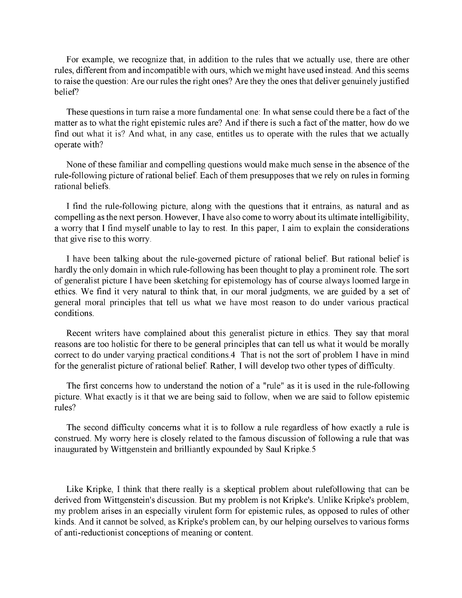For example, we recognize that, in addition to the rules that we actually use, there are other rules, different from and incompatible with ours, which we might have used instead. And this seems to raise the question: Are our rules the right ones? Are they the ones that deliver genuinely justified belief?

These questions in turn raise a more fundamental one: In what sense could there be a fact of the matter as to what the right epistemic rules are? And if there is such a fact of the matter, how do we find out what it is? And what, in any case, entitles us to operate with the rules that we actually operate with?

None of these familiar and compelling questions would make much sense in the absence of the rule-following picture of rational belief. Each of them presupposes that we rely on rules in forming rational beliefs.

I find the rule-following picture, along with the questions that it entrains, as natural and as compelling asthe next person. However, I have also come to worry about its ultimate intelligibility, a worry that I find myself unable to lay to rest. In this paper, I aim to explain the considerations that give rise to this worry.

I have been talking about the rule-governed picture of rational belief. But rational belief is hardly the only domain in which rule-following has been thought to play a prominent role. The sort of generalist picture I have been sketching for epistemology has of course always loomed large in ethics. We find it very natural to think that, in our moral judgments, we are guided by a set of general moral principles that tell us what we have most reason to do under various practical conditions.

Recent writers have complained about this generalist picture in ethics. They say that moral reasons are too holistic for there to be general principles that can tell us what it would be morally correct to do under varying practical conditions.4 That is not the sort of problem I have in mind for the generalist picture of rational belief. Rather, I will develop two other types of difficulty.

The first concerns how to understand the notion of a "rule" as it is used in the rule-following picture. What exactly is it that we are being said to follow, when we are said to follow epistemic rules?

The second difficulty concerns what it is to follow a rule regardless of how exactly a rule is construed. My worry here is closely related to the famous discussion of following a rule that was inaugurated by Wittgenstein and brilliantly expounded by Saul Kripke.5

Like Kripke, I think that there really is a skeptical problem about rulefollowing that can be derived from Wittgenstein's discussion. But my problem is not Kripke's. Unlike Kripke's problem, my problem arises in an especially virulent form for epistemic rules, as opposed to rules of other kinds. And it cannot be solved, as Kripke's problem can, by our helping ourselves to various forms of anti-reductionist conceptions of meaning or content.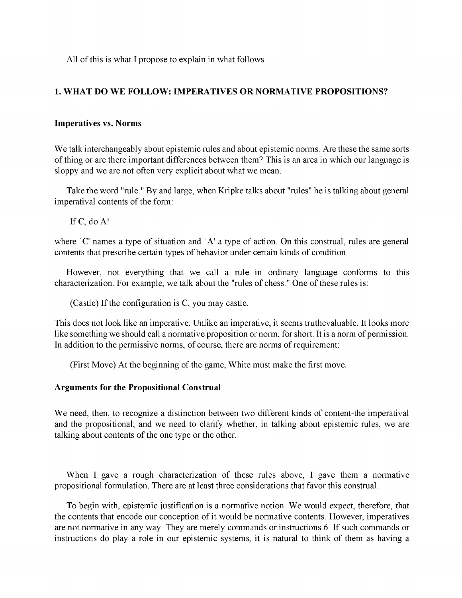All of this is what I propose to explain in what follows.

# 1. WHAT DO WE FOLLOW: IMPERATIVES OR NORMATIVE PROPOSITIONS?

# Imperatives vs. Norms

We talk interchangeably about epistemic rules and about epistemic norms. Are these the same sorts of thing or are there important differences between them? This is an area in which our language is sloppy and we are not often very explicit about what we mean.

Take the word "rule." By and large, when Kripke talks about "rules" he is talking about general imperatival contents of the form:

If C, do A!

where 'C' names a type of situation and 'A' a type of action. On this construal, rules are general contents that prescribe certain types of behavior under certain kinds of condition.

However, not everything that we call a rule in ordinary language conforms to this characterization. For example, we talk about the "rules of chess." One of these rules is:

(Castle) If the configuration is  $C$ , you may castle.

This does not look like an imperative. Unlike an imperative, it seems truthevaluable. It looks more like something we should call a normative proposition or norm, for short. It is a norm of permission. In addition to the permissive norms, of course, there are norms of requirement:

(First Move) At the beginning of the game, White must make the first move.

## Arguments for the Propositional Construal

We need, then, to recognize a distinction between two different kinds of content-the imperatival and the propositional; and we need to clarify whether, in talking about epistemic rules, we are talking about contents of the one type or the other.

When I gave a rough characterization of these rules above, I gave them a normative propositional formulation. There are at least three considerations that favor this construal.

To begin with, epistemic justification is a normative notion. We would expect, therefore, that the contents that encode our conception of it would be normative contents. However, imperatives are not normative in any way. They are merely commands or instructions.6 If such commands or instructions do play a role in our epistemic systems, it is natural to think of them as having a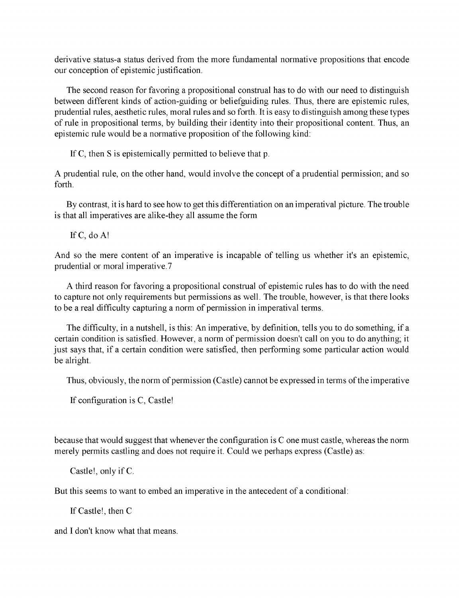derivative status-a status derived from the more fundamental normative propositions that encode our conception of epistemic justification.

The second reason for favoring a propositional construal has to do with our need to distinguish between different kinds of action-guiding or beliefguiding rules. Thus, there are epistemic rules, prudential rules, aesthetic rules, moral rules and so forth. It is easy to distinguish among these types of rule in propositional terms, by building their identity into their propositional content. Thus, an epistemic rule would be a normative proposition of the following kind:

IfC, then S is epistemically permitted to believe that p.

A prudential rule, on the other hand, would involve the concept of a prudential permission; and so forth.

By contrast, it is hard to see how to get this differentiation on an imperatival picture. The trouble is that all imperatives are alike-they all assume the form

If  $C$ , do A!

And so the mere content of an imperative is incapable of telling us whether it's an epistemic, prudential or moral imperative.7

A third reason for favoring a propositional construal of epistemic rules has to do with the need to capture not only requirements but permissions as well. The trouble, however, is that there looks to be a real difficulty capturing a norm of permission in imperatival terms.

The difficulty, in a nutshell, is this: An imperative, by definition, tells you to do something, if a certain condition is satisfied. However, a norm of permission doesn't call on you to do anything; it just says that, if a certain condition were satisfied, then performing some particular action would be alright.

Thus, obviously, the norm of permission (Castle) cannot be expressed in terms of the imperative

If configuration is C, Castle!

because that would suggest that whenever the configuration is C one must castle, whereas the norm merely permits castling and does not require it. Could we perhaps express (Castle) as:

Castle!, only if C.

But this seems to want to embed an imperative in the antecedent of a conditional:

IfCastle!, then C

and I don't know what that means.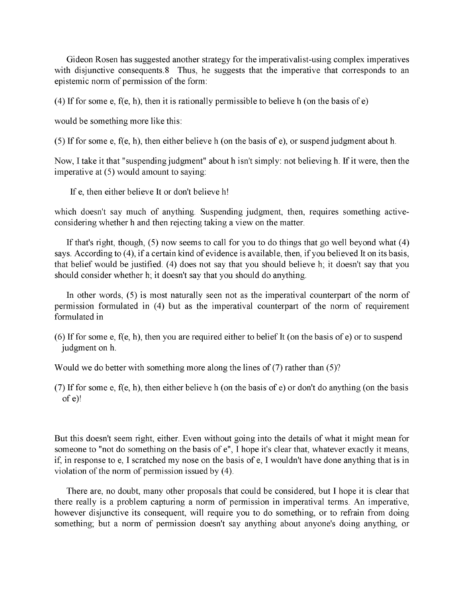Gideon Rosen has suggested another strategy for the imperativalist-using complex imperatives with disjunctive consequents.8 Thus, he suggests that the imperative that corresponds to an epistemic norm of permission of the form:

(4) If for some e,  $f(e, h)$ , then it is rationally permissible to believe h (on the basis of e)

would be something more like this:

(5) If for some e,  $f(e, h)$ , then either believe h (on the basis of e), or suspend judgment about h.

Now, I take it that "suspending judgment" about h isn't simply: not believing h. If it were, then the imperative at (5) would amount to saying:

If e, then either believe It or don't believe h!

which doesn't say much of anything. Suspending judgment, then, requires something activeconsidering whether h and then rejecting taking a view on the matter.

If that's right, though,  $(5)$  now seems to call for you to do things that go well beyond what  $(4)$ says. According to (4), if a certain kind of evidence is available, then, if you believed It on its basis, that belief would be justified. (4) does not say that you should believe h; it doesn't say that you should consider whether h; it doesn't say that you should do anything.

In other words, (5) is most naturally seen not as the imperatival counterpart of the norm of permission formulated in (4) but as the imperatival counterpart of the norm of requirement formulated in

(6) If for some e,  $f(e, h)$ , then you are required either to belief It (on the basis of e) or to suspend judgment on h.

Would we do better with something more along the lines of (7) rather than (5)?

(7) If for some e,  $f(e, h)$ , then either believe h (on the basis of e) or don't do anything (on the basis of e)!

But this doesn't seem right, either. Even without going into the details of what it might mean for someone to "not do something on the basis of e", I hope it's clear that, whatever exactly it means, if, in response to e, I scratched my nose on the basis of e, I wouldn't have done anything that is in violation of the norm of permission issued by  $(4)$ .

There are, no doubt, many other proposals that could be considered, but I hope it is clear that there really is a problem capturing a norm of permission in imperatival terms. An imperative, however disjunctive its consequent, will require you to do something, or to refrain from doing something; but a norm of permission doesn't say anything about anyone's doing anything, or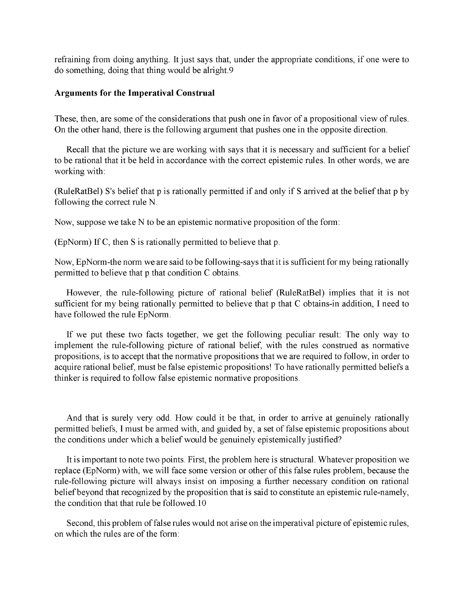refraining from doing anything. It just says that, under the appropriate conditions, if one were to do something, doing that thing would be alright.9

## Arguments for the Imperatival Construal

These, then, are some of the considerations that push one in favor of a propositional view of rules. On the other hand, there is the following argument that pushes one in the opposite direction.

Recall that the picture we are working with says that it is necessary and sufficient for a belief to be rational that it be held in accordance with the correct epistemic rules. In other words, we are working with:

(RuleRatBel) S's belief that p is rationally permitted if and only if S arrived at the belief that p by following the correct rule N.

Now, suppose we take N to be an epistemic normative proposition of the form:

(EpNorm) If C, then S is rationally permitted to believe that p.

Now, EpNorm-the norm we are said to be following-says that it is sufficient for my being rationally permitted to believe that p that condition C obtains.

However, the rule-following picture of rational belief (RuleRatBel) implies that it is not sufficient for my being rationally permitted to believe that p that C obtains-in addition, I need to have followed the rule EpNorm.

If we put these two facts together, we get the following peculiar result: The only way to implement the rule-following picture of rational belief, with the rules construed as normative propositions, is to accept that the normative propositions that we are required to follow, in order to acquire rational belief, must be false epistemic propositions! To have rationally permitted beliefs a thinker is required to follow false epistemic normative propositions.

And that is surely very odd. How could it be that, in order to arrive at genuinely rationally permitted beliefs, I must be armed with, and guided by, a set of false epistemic propositions about the conditions under which a belief would be genuinely epistemically justified?

It is important to note two points. First, the problem here is structural. Whatever proposition we replace (EpNorm) with, we will face some version or other of this false rules problem, because the rule-following picture will always insist on imposing a further necessary condition on rational belief beyond that recognized by the proposition that is said to constitute an epistemic rule-namely, the condition that that rule be followed.10

Second, this problem of false rules would not arise on the imperatival picture of epistemic rules, on which the rules are of the form: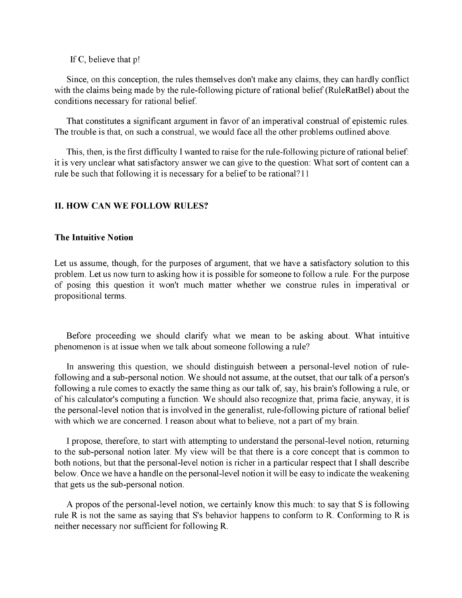If C, believe that p!

Since, on this conception, the rules themselves don't make any claims, they can hardly conflict with the claims being made by the rule-following picture of rational belief (RuleRatBel) about the conditions necessary for rational belief.

That constitutes a significant argument in favor of an imperatival construal of epistemic rules. The trouble is that, on such a construal, we would face all the other problems outlined above.

This, then, is the first difficulty I wanted to raise for the rule-following picture of rational belief: it is very unclear what satisfactory answer we can give to the question: What sort of content can a rule be such that following it is necessary for a belief to be rational?11

## II. HOW CAN WE FOLLOW RULES?

#### The Intuitive Notion

Let us assume, though, for the purposes of argument, that we have a satisfactory solution to this problem. Let us now turn to asking how it is possible for someone to follow a rule. For the purpose of posing this question it won't much matter whether we construe rules in imperatival or propositional terms.

Before proceeding we should clarify what we mean to be asking about. What intuitive phenomenon is at issue when we talk about someone following a rule?

In answering this question, we should distinguish between a personal-level notion of rulefollowing and a sub-personal notion. We should not assume, at the outset, that our talk of a person's following a rule comes to exactly the same thing as our talk of, say, his brain's following a rule, or of his calculator's computing a function. We should also recognize that, prima facie, anyway, it is the personal-level notion that is involved in the generalist, rule-following picture of rational belief with which we are concerned. I reason about what to believe, not a part of my brain.

I propose, therefore, to start with attempting to understand the personal-level notion, returning to the sub-personal notion later. My view will be that there is a core concept that is common to both notions, but that the personal-level notion is richer in a particular respect that I shall describe below. Once we have a handle on the personal-level notion it will be easy to indicate the weakening that gets us the sub-personal notion.

A propos of the personal-level notion, we certainly know this much: to say that S is following rule R is not the same as saying that S's behavior happens to conform to R. Conforming to R is neither necessary nor sufficient for following R.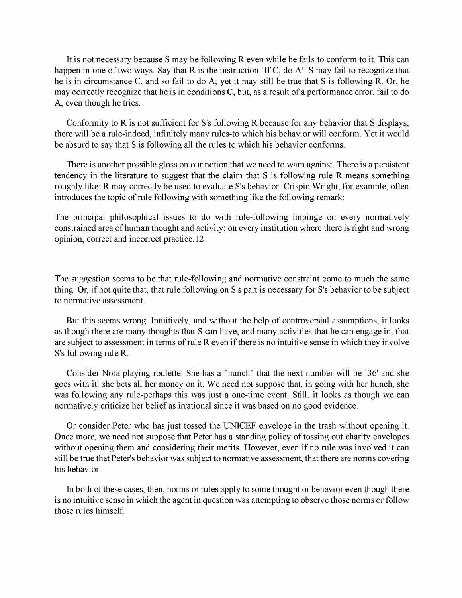It is not necessary because S may be following R even while he fails to conform to it. This can happen in one of two ways. Say that R is the instruction 'If C, do A!' S may fail to recognize that he is in circumstance C, and so fail to do A; yet it may still be true that S is following R. Or, he may correctly recognize that he is in conditions C, but, as a result of a performance error, fail to do A, even though he tries.

Conformity to R is not sufficient for S's following R because for any behavior that S displays, there will be a rule-indeed, infinitely many rules-to which his behavior will conform. Yet it would be absurd to say that S is following all the rules to which his behavior conforms.

There is another possible gloss on our notion that we need to warn against. There is a persistent tendency in the literature to suggest that the claim that S is following rule R means something roughly like: R may correctly be used to evaluate S's behavior. Crispin Wright, for example, often introduces the topic of rule following with something like the following remark:

The principal philosophical issues to do with rule-following impinge on every normatively constrained area of human thought and activity: on every institution where there is right and wrong opinion, correct and incorrect practice.12

The suggestion seems to be that rule-following and normative constraint come to much the same thing. Or, if not quite that, that rule following on S's part is necessary for S's behavior to be subject to normative assessment.

But this seems wrong. Intuitively, and without the help of controversial assumptions, it looks as though there are many thoughts that S can have, and many activities that he can engage in, that are subject to assessment in terms of rule R even if there is no intuitive sense in which they involve S's following rule R.

Consider Nora playing roulette. She has a "hunch" that the next number will be '36' and she goes with it: she bets all her money on it. We need not suppose that, in going with her hunch, she was following any rule-perhaps this was just a one-time event. Still, it looks as though we can normatively criticize her belief as irrational since it was based on no good evidence.

Or consider Peter who has just tossed the UNICEF envelope in the trash without opening it. Once more, we need not suppose that Peter has a standing policy of tossing out charity envelopes without opening them and considering their merits. However, even if no rule was involved it can still be true that Peter's behavior was subject to normative assessment, that there are norms covering his behavior.

In both of these cases, then, norms or rules apply to some thought or behavior even though there is no intuitive sense in which the agent in question was attempting to observe those norms or follow those rules himself.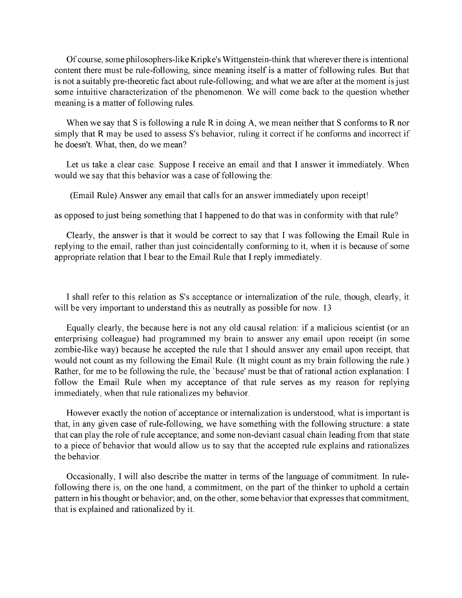Of course, some philosophers-like Kripke's Wittgenstein-think that wherever there is intentional content there must be rule-following, since meaning itself is a matter of following rules. But that is not a suitably pre-theoretic fact about rule-following; and what we are after at the moment is just some intuitive characterization of the phenomenon. We will come back to the question whether meaning is a matter of following rules.

When we say that S is following a rule R in doing A, we mean neither that S conforms to R nor simply that R may be used to assess S's behavior, ruling it correct if he conforms and incorrect if he doesn't. What, then, do we mean?

Let us take a clear case. Suppose I receive an email and that I answer it immediately. When would we say that this behavior was a case of following the:

(Email Rule) Answer any email that calls for an answer immediately upon receipt!

as opposed to just being something that I happened to do that was in conformity with that rule?

Clearly, the answer is that it would be correct to say that I was following the Email Rule in replying to the email, rather than just coincidentally conforming to it, when it is because of some appropriate relation that I bear to the Email Rule that I reply immediately.

I shall refer to this relation as S's acceptance or internalization of the rule, though, clearly, it will be very important to understand this as neutrally as possible for now. 13

Equally clearly, the because here is not any old causal relation: if a malicious scientist (or an enterprising colleague) had programmed my brain to answer any email upon receipt (in some zombie-like way) because he accepted the rule that I should answer any email upon receipt, that would not count as my following the Email Rule. (It might count as my brain following the rule.) Rather, for me to be following the rule, the 'because' must be that of rational action explanation: I follow the Email Rule when my acceptance of that rule serves as my reason for replying immediately, when that rule rationalizes my behavior.

However exactly the notion of acceptance or internalization is understood, what is important is that, in any given case of rule-following, we have something with the following structure: a state that can play the role of rule acceptance; and some non-deviant casual chain leading from that state to a piece of behavior that would allow us to say that the accepted rule explains and rationalizes the behavior.

Occasionally, I will also describe the matter in terms of the language of commitment. In rulefollowing there is, on the one hand, a commitment, on the part of the thinker to uphold a certain pattern in his thought or behavior; and, on the other, some behavior that expresses that commitment, that is explained and rationalized by it.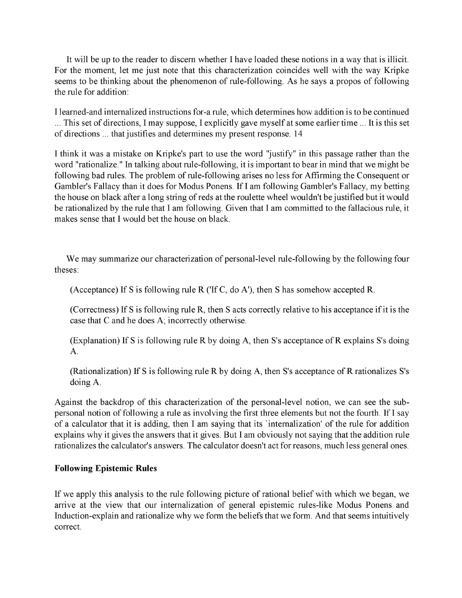It will be up to the reader to discern whether I have loaded these notions in a way that is illicit. For the moment, let me just note that this characterization coincides well with the way Kripke seems to be thinking about the phenomenon of rule-following. As he says a propos of following the rule for addition:

I learned-and internalized instructions for-a rule, which determines how addition is to be continued ... This set of directions, I may suppose, I explicitly gave myself at some earlier time ... It is this set of directions ... that justifies and determines my present response. 14

I think it was a mistake on Kripke's part to use the word "justify" in this passage rather than the word "rationalize." In talking about rule-following, it is important to bear in mind that we might be following bad rules. The problem of rule-following arises no less for Affirming the Consequent or Gambler's Fallacy than it does for Modus Ponens. If I am following Gambler's Fallacy, my betting the house on black after a long string of reds at the roulette wheel wouldn't be justified but it would be rationalized by the rule that I am following. Given that I am committed to the fallacious rule, it makes sense that I would bet the house on black.

We may summarize our characterization of personal-level rule-following by the following four theses:

(Acceptance) If S is following rule R ('If C, do A'), then S has somehow accepted R.

(Correctness) If S is following rule R, then S acts correctly relative to his acceptance if it is the case that C and he does A; incorrectly otherwise.

(Explanation) If S is following rule R by doing A, then S's acceptance of R explains S's doing A.

(Rationalization) If S is following rule R by doing A, then S's acceptance of R rationalizes S's doing A.

Against the backdrop of this characterization of the personal-level notion, we can see the subpersonal notion of following a rule as involving the first three elements but not the fourth. If I say of a calculator that it is adding, then I am saying that its 'internalization' of the rule for addition explains why it gives the answers that it gives. But I am obviously not saying that the addition rule rationalizes the calculator's answers. The calculator doesn't act for reasons, much less general ones.

# Following Epistemic Rules

If we apply this analysis to the rule following picture of rational belief with which we began, we arrive at the view that our internalization of general epistemic rules-like Modus Ponens and Induction-explain and rationalize why we form the beliefs that we form. And that seems intuitively correct.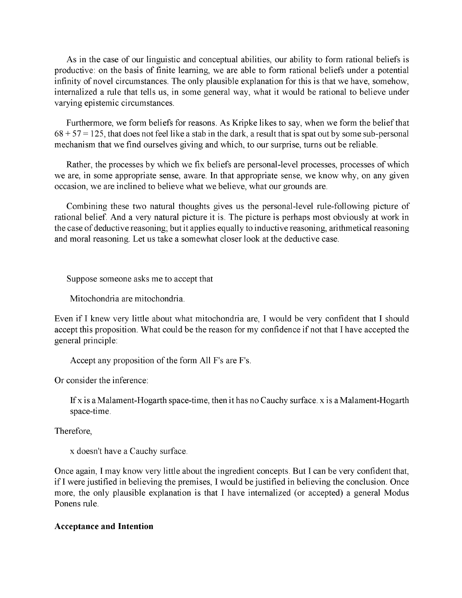As in the case of our linguistic and conceptual abilities, our ability to form rational beliefs is productive: on the basis of finite learning, we are able to form rational beliefs under a potential infinity of novel circumstances. The only plausible explanation for this is that we have, somehow, internalized a rule that tells us, in some general way, what it would be rational to believe under varying epistemic circumstances.

Furthermore, we form beliefs for reasons. As Kripke likes to say, when we form the belief that  $68 + 57 = 125$ , that does not feel like a stab in the dark, a result that is spat out by some sub-personal mechanism that we find ourselves giving and which, to our surprise, turns out be reliable.

Rather, the processes by which we fix beliefs are personal-level processes, processes of which we are, in some appropriate sense, aware. In that appropriate sense, we know why, on any given occasion, we are inclined to believe what we believe, what our grounds are.

Combining these two natural thoughts gives us the personal-level rule-following picture of rational belief. And a very natural picture it is. The picture is perhaps most obviously at work in the case of deductive reasoning; but it applies equally to inductive reasoning, arithmetical reasoning and moral reasoning. Let us take a somewhat closer look at the deductive case.

Suppose someone asks me to accept that

Mitochondria are mitochondria.

Even if I knew very little about what mitochondria are, I would be very confident that I should accept this proposition. What could be the reason for my confidence if not that I have accepted the general principle:

Accept any proposition of the form All F's are F's.

Or consider the inference:

Ifx is a Malament-Hogarth space-time, then it has no Cauchy surface. x is a Malament-Hogarth space-time.

Therefore,

x doesn't have a Cauchy surface.

Once again, I may know very little about the ingredient concepts. But I can be very confident that, ifI were justified in believing the premises, I would be justified in believing the conclusion. Once more, the only plausible explanation is that I have internalized (or accepted) a general Modus Ponens rule.

## Acceptance and Intention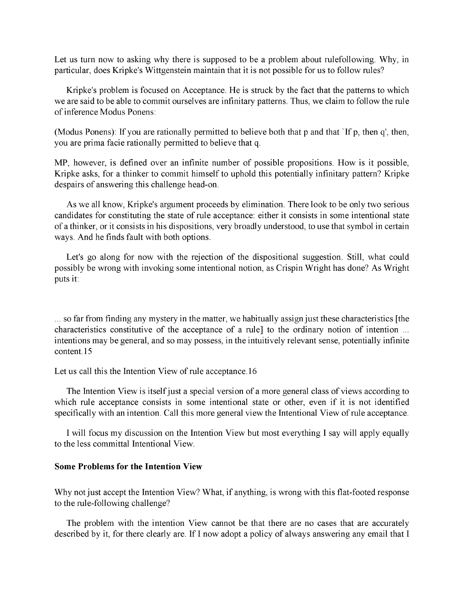Let us turn now to asking why there is supposed to be a problem about rulefollowing. Why, in particular, does Kripke's Wittgenstein maintain that it is not possible for us to follow rules?

Kripke's problem is focused on Acceptance. He is struck by the fact that the patterns to which we are said to be able to commit ourselves are infinitary patterns. Thus, we claim to follow the rule of inference Modus Ponens:

(Modus Ponens): If you are rationally permitted to believe both that p and that 'If p, then q', then, you are prima facie rationally permitted to believe that q.

MP, however, is defined over an infinite number of possible propositions. How is it possible, Kripke asks, for a thinker to commit himself to uphold this potentially infinitary pattern? Kripke despairs of answering this challenge head-on.

As we all know, Kripke's argument proceeds by elimination. There look to be only two serious candidates for constituting the state of rule acceptance: either it consists in some intentional state of a thinker, or it consists in his dispositions, very broadly understood, to use that symbol in certain ways. And he finds fault with both options.

Let's go along for now with the rejection of the dispositional suggestion. Still, what could possibly be wrong with invoking some intentional notion, as Crispin Wright has done? As Wright puts it:

... so far from finding any mystery in the matter, we habitually assign just these characteristics [the characteristics constitutive of the acceptance of a rule] to the ordinary notion of intention ... intentions may be general, and so may possess, in the intuitively relevant sense, potentially infinite content.15

Let us call this the Intention View of rule acceptance.16

The Intention View is itself just a special version of a more general class of views according to which rule acceptance consists in some intentional state or other, even if it is not identified specifically with an intention. Call this more general view the Intentional View of rule acceptance.

I will focus my discussion on the Intention View but most everything I say will apply equally to the less committal Intentional View.

# Some Problemsfor the Intention View

Why not just accept the Intention View? What, if anything, is wrong with this flat-footed response to the rule-following challenge?

The problem with the intention View cannot be that there are no cases that are accurately described by it, for there clearly are. If I now adopt a policy of always answering any email that I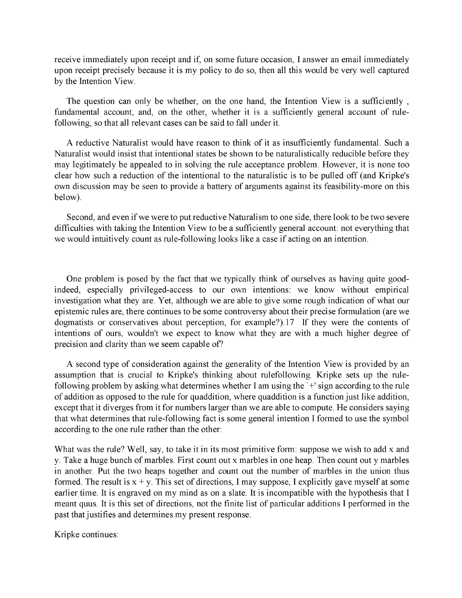receive immediately upon receipt and if, on some future occasion, I answer an email immediately upon receipt precisely because it is my policy to do so, then all this would be very well captured by the Intention View.

The question can only be whether, on the one hand, the Intention View is a sufficiently , fundamental account, and, on the other, whether it is a sufficiently general account of rulefollowing, so that all relevant cases can be said to fall under it.

A reductive Naturalist would have reason to think of it as insufficiently fundamental. Such a Naturalist would insist that intentional states be shown to be naturalistically reducible before they may legitimately be appealed to in solving the rule acceptance problem. However, it is none too clear how such a reduction of the intentional to the naturalistic is to be pulled off (and Kripke's own discussion may be seen to provide a battery of arguments against its feasibility-more on this below).

Second, and even if we were to put reductive Naturalism to one side, there look to be two severe difficulties with taking the Intention View to be a sufficiently general account: not everything that we would intuitively count as rule-following looks like a case if acting on an intention.

One problem is posed by the fact that we typically think of ourselves as having quite goodindeed, especially privileged-access to our own intentions: we know without empirical investigation what they are. Yet, although we are able to give some rough indication of what our epistemic rules are, there continues to be some controversy about their precise formulation (are we dogmatists or conservatives about perception, for example?).17 If they were the contents of intentions of ours, wouldn't we expect to know what they are with a much higher degree of precision and clarity than we seem capable of?

A second type of consideration against the generality of the Intention View is provided by an assumption that is crucial to Kripke's thinking about rulefollowing. Kripke sets up the rulefollowing problem by asking what determines whether I am using the '+' sign according to the rule of addition as opposed to the rule for quaddition, where quaddition is a function just like addition, except that it diverges from it for numbers larger than we are able to compute. He considers saying that what determines that rule-following fact is some general intention I formed to use the symbol according to the one rule rather than the other:

What was the rule? Well, say, to take it in its most primitive form: suppose we wish to add x and y. Take a huge bunch of marbles. First count out x marbles in one heap. Then count out y marbles in another. Put the two heaps together and count out the number of marbles in the union thus formed. The result is  $x + y$ . This set of directions, I may suppose, I explicitly gave myself at some earlier time. It is engraved on my mind as on a slate. It is incompatible with the hypothesis that I meant quus. It is this set of directions, not the finite list of particular additions I performed in the past that justifies and determines my present response.

Kripke continues: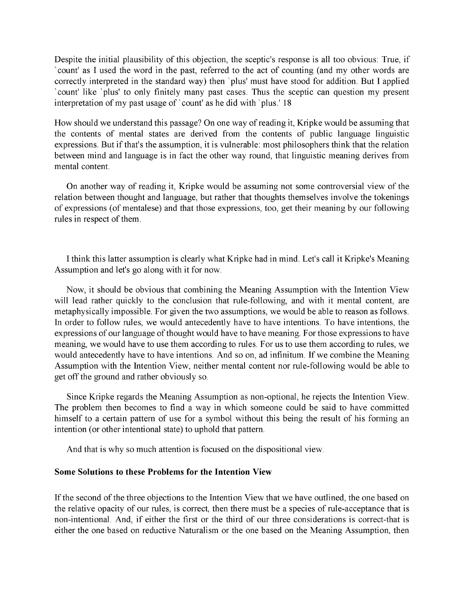Despite the initial plausibility of this objection, the sceptic's response is all too obvious: True, if 'count' as I used the word in the past, referred to the act of counting (and my other words are correctly interpreted in the standard way) then 'plus' must have stood for addition. But I applied 'count' like 'plus' to only finitely many past cases. Thus the sceptic can question my present interpretation of my past usage of 'count' as he did with 'plus.' 18

How should we understand this passage? On one way of reading it, Kripke would be assuming that the contents of mental states are derived from the contents of public language linguistic expressions. But if that's the assumption, it is vulnerable: most philosophers think that the relation between mind and language is in fact the other way round, that linguistic meaning derives from mental content.

On another way of reading it, Kripke would be assuming not some controversial view of the relation between thought and language, but rather that thoughts themselves involve the tokenings of expressions (of mentalese) and that those expressions, too, get their meaning by our following rules in respect of them.

I think this latter assumption is clearly what Kripke had in mind. Let's call it Kripke's Meaning Assumption and let's go along with it for now.

Now, it should be obvious that combining the Meaning Assumption with the Intention View will lead rather quickly to the conclusion that rule-following, and with it mental content, are metaphysically impossible. For given the two assumptions, we would be able to reason as follows. In order to follow rules, we would antecedently have to have intentions. To have intentions, the expressions of our language of thought would have to have meaning. For those expressions to have meaning, we would have to use them according to rules. For us to use them according to rules, we would antecedently have to have intentions. And so on, ad infinitum. If we combine the Meaning Assumption with the Intention View, neither mental content nor rule-following would be able to get off the ground and rather obviously so.

Since Kripke regards the Meaning Assumption as non-optional, he rejects the Intention View. The problem then becomes to find a way in which someone could be said to have committed himself to a certain pattern of use for a symbol without this being the result of his forming an intention (or other intentional state) to uphold that pattern.

And that is why so much attention is focused on the dispositional view.

## Some Solutions to these Problemsfor the Intention View

If the second of the three objections to the Intention View that we have outlined, the one based on the relative opacity of our rules, is correct, then there must be a species of rule-acceptance that is non-intentional. And, if either the first or the third of our three considerations is correct-that is either the one based on reductive Naturalism or the one based on the Meaning Assumption, then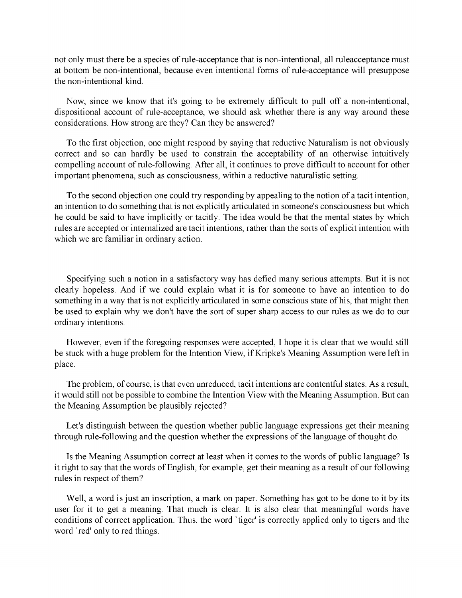not only must there be a species of rule-acceptance that is non-intentional, all ruleacceptance must at bottom be non-intentional, because even intentional forms of rule-acceptance will presuppose the non-intentional kind.

Now, since we know that it's going to be extremely difficult to pull off a non-intentional, dispositional account of rule-acceptance, we should ask whether there is any way around these considerations. How strong are they? Can they be answered?

To the first objection, one might respond by saying that reductive Naturalism is not obviously correct and so can hardly be used to constrain the acceptability of an otherwise intuitively compelling account of rule-following. After all, it continues to prove difficult to account for other important phenomena, such as consciousness, within a reductive naturalistic setting.

To the second objection one could try responding by appealing to the notion of a tacit intention, an intention to do something that is not explicitly articulated in someone's consciousness but which he could be said to have implicitly or tacitly. The idea would be that the mental states by which rules are accepted or internalized are tacit intentions, rather than the sorts of explicit intention with which we are familiar in ordinary action.

Specifying such a notion in a satisfactory way has defied many serious attempts. But it is not clearly hopeless. And if we could explain what it is for someone to have an intention to do something in a way that is not explicitly articulated in some conscious state of his, that might then be used to explain why we don't have the sort of super sharp access to our rules as we do to our ordinary intentions.

However, even if the foregoing responses were accepted, I hope it is clear that we would still be stuck with a huge problem for the Intention View, if Kripke's Meaning Assumption were left in place.

The problem, of course, is that even unreduced, tacit intentions are contentful states. As a result, it would still not be possible to combine the Intention View with the Meaning Assumption. But can the Meaning Assumption be plausibly rejected?

Let's distinguish between the question whether public language expressions get their meaning through rule-following and the question whether the expressions of the language of thought do.

Is the Meaning Assumption correct at least when it comes to the words of public language? Is it right to say that the words of English, for example, get their meaning as a result of our following rules in respect of them?

Well, a word is just an inscription, a mark on paper. Something has got to be done to it by its user for it to get a meaning. That much is clear. It is also clear that meaningful words have conditions of correct application. Thus, the word 'tiger' is correctly applied only to tigers and the word 'red' only to red things.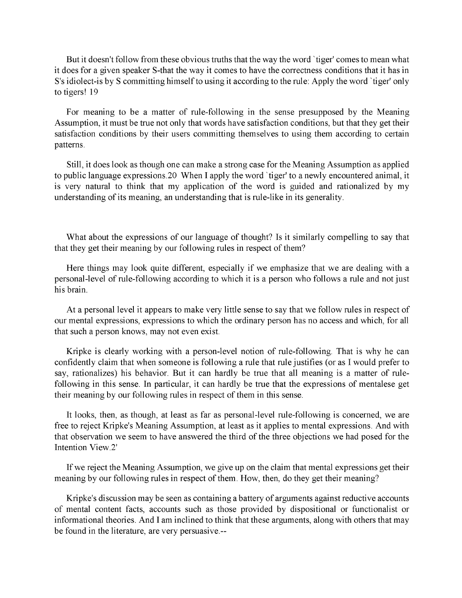But it doesn't follow from these obvious truths that the way the word 'tiger' comes to mean what it does for a given speaker S-that the way it comes to have the correctness conditions that it has in S's idiolect-is by S committing himself to using it according to the rule: Apply the word 'tiger' only to tigers! 19

For meaning to be a matter of rule-following in the sense presupposed by the Meaning Assumption, it must be true not only that words have satisfaction conditions, but that they get their satisfaction conditions by their users committing themselves to using them according to certain patterns.

Still, it does look as though one can make a strong case for the Meaning Assumption as applied to public language expressions.20 When I apply the word 'tiger' to a newly encountered animal, it is very natural to think that my application of the word is guided and rationalized by my understanding of its meaning, an understanding that is rule-like in its generality.

What about the expressions of our language of thought? Is it similarly compelling to say that that they get their meaning by our following rules in respect of them?

Here things may look quite different, especially if we emphasize that we are dealing with a personal-level of rule-following according to which it is a person who follows a rule and not just his brain.

At a personal level it appears to make very little sense to say that we follow rules in respect of our mental expressions, expressions to which the ordinary person has no access and which, for all that such a person knows, may not even exist.

Kripke is clearly working with a person-level notion of rule-following. That is why he can confidently claim that when someone is following a rule that rule justifies (or as I would prefer to say, rationalizes) his behavior. But it can hardly be true that all meaning is a matter of rulefollowing in this sense. In particular, it can hardly be true that the expressions of mentalese get their meaning by our following rules in respect of them in this sense.

It looks, then, as though, at least as far as personal-level rule-following is concerned, we are free to reject Kripke's Meaning Assumption, at least as it applies to mental expressions. And with that observation we seem to have answered the third of the three objections we had posed for the Intention View.2'

If we reject the Meaning Assumption, we give up on the claim that mental expressions get their meaning by our following rules in respect of them. How, then, do they get their meaning?

Kripke's discussion may be seen as containing a battery of arguments against reductive accounts of mental content facts, accounts such as those provided by dispositional or functionalist or informational theories. And I am inclined to think that these arguments, along with others that may be found in the literature, are very persuasive.--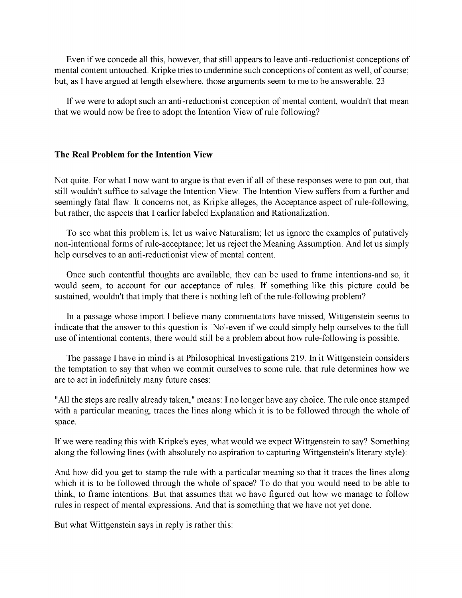Even if we concede all this, however, that still appears to leave anti-reductionist conceptions of mental content untouched. Kripke tries to undermine such conceptions of content as well, of course; but, as I have argued at length elsewhere, those arguments seem to me to be answerable. 23

If we were to adopt such an anti-reductionist conception of mental content, wouldn't that mean that we would now be free to adopt the Intention View of rule following?

#### The Real Problem for the Intention View

Not quite. For what I now want to argue is that even if all of these responses were to pan out, that still wouldn't suffice to salvage the Intention View. The Intention View suffers from a further and seemingly fatal flaw. It concerns not, as Kripke alleges, the Acceptance aspect of rule-following, but rather, the aspects that I earlier labeled Explanation and Rationalization.

To see what this problem is, let us waive Naturalism; let us ignore the examples of putatively non-intentional forms of rule-acceptance; let us reject the Meaning Assumption. And let us simply help ourselves to an anti-reductionist view of mental content.

Once such contentful thoughts are available, they can be used to frame intentions-and so, it would seem, to account for our acceptance of rules. If something like this picture could be sustained, wouldn't that imply that there is nothing left of the rule-following problem?

In a passage whose import I believe many commentators have missed, Wittgenstein seems to indicate that the answer to this question is 'No'-even if we could simply help ourselves to the full use of intentional contents, there would still be a problem about how rule-following is possible.

The passage I have in mind is at Philosophical Investigations 219. In it Wittgenstein considers the temptation to say that when we commit ourselves to some rule, that rule determines how we are to act in indefinitely many future cases:

"All the steps are really already taken," means: I no longer have any choice. The rule once stamped with a particular meaning, traces the lines along which it is to be followed through the whole of space.

If we were reading this with Kripke's eyes, what would we expect Wittgenstein to say? Something along the following lines (with absolutely no aspiration to capturing Wittgenstein's literary style):

And how did you get to stamp the rule with a particular meaning so that it traces the lines along which it is to be followed through the whole of space? To do that you would need to be able to think, to frame intentions. But that assumes that we have figured out how we manage to follow rules in respect of mental expressions. And that is something that we have not yet done.

But what Wittgenstein says in reply is rather this: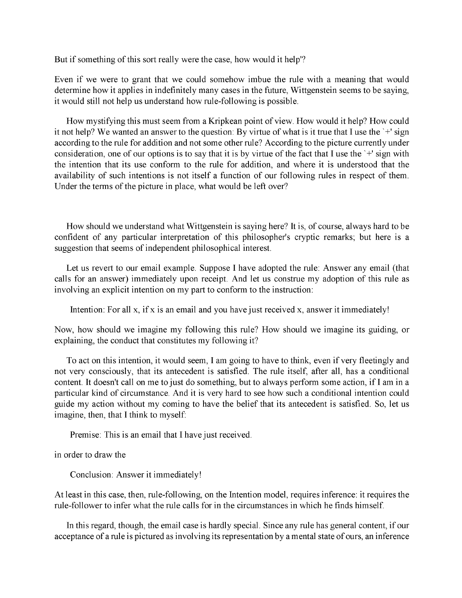But if something of this sort really were the case, how would it help'?

Even if we were to grant that we could somehow imbue the rule with a meaning that would determine how it applies in indefinitely many cases in the future, Wittgenstein seems to be saying, it would still not help us understand how rule-following is possible.

How mystifying this must seem from a Kripkean point of view. How would it help? How could it not help? We wanted an answer to the question: By virtue of what is it true that I use the '+' sign according to the rule for addition and not some other rule? According to the picture currently under consideration, one of our options is to say that it is by virtue of the fact that I use the  $+$ ' sign with the intention that its use conform to the rule for addition, and where it is understood that the availability of such intentions is not itself a function of our following rules in respect of them. Under the terms of the picture in place, what would be left over?

How should we understand what Wittgenstein is saying here? It is, of course, always hard to be confident of any particular interpretation of this philosopher's cryptic remarks; but here is a suggestion that seems of independent philosophical interest.

Let us revert to our email example. Suppose I have adopted the rule: Answer any email (that calls for an answer) immediately upon receipt. And let us construe my adoption of this rule as involving an explicit intention on my part to conform to the instruction:

Intention: For all x, if x is an email and you have just received x, answer it immediately!

Now, how should we imagine my following this rule? How should we imagine its guiding, or explaining, the conduct that constitutes my following it?

To act on this intention, it would seem, I am going to have to think, even if very fleetingly and not very consciously, that its antecedent is satisfied. The rule itself, after all, has a conditional content. It doesn't call on me to just do something, but to always perform some action, if I am in a particular kind of circumstance. And it is very hard to see how such a conditional intention could guide my action without my coming to have the belief that its antecedent is satisfied. So, let us imagine, then, that I think to myself:

Premise: This is an email that I have just received.

in order to draw the

Conclusion: Answer it immediately!

At least in this case, then, rule-following, on the Intention model, requires inference: it requires the rule-follower to infer what the rule calls for in the circumstances in which he finds himself.

In this regard, though, the email case is hardly special. Since any rule has general content, if our acceptance of a rule is pictured as involving its representation by a mental state of ours, an inference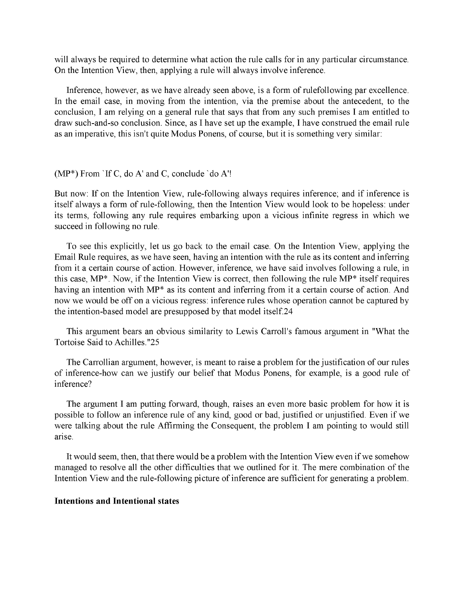will always be required to determine what action the rule calls for in any particular circumstance. On the Intention View, then, applying a rule will always involve inference.

Inference, however, as we have already seen above, is a form of rulefollowing par excellence. In the email case, in moving from the intention, via the premise about the antecedent, to the conclusion, I am relying on a general rule that says that from any such premises I am entitled to draw such-and-so conclusion. Since, as I have set up the example, I have construed the email rule as an imperative, this isn't quite Modus Ponens, of course, but it is something very similar:

(MP\*) From 'If C, do A' and C, conclude 'do A'!

But now: If on the Intention View, rule-following always requires inference; and if inference is itself always a form of rule-following, then the Intention View would look to be hopeless: under its terms, following any rule requires embarking upon a vicious infinite regress in which we succeed in following no rule.

To see this explicitly, let us go back to the email case. On the Intention View, applying the Email Rule requires, as we have seen, having an intention with the rule as its content and inferring from it a certain course of action. However, inference, we have said involves following a rule, in this case,  $MP^*$ . Now, if the Intention View is correct, then following the rule  $MP^*$  itself requires having an intention with MP<sup>\*</sup> as its content and inferring from it a certain course of action. And now we would be off on a vicious regress: inference rules whose operation cannot be captured by the intention-based model are presupposed by that model itself.24

This argument bears an obvious similarity to Lewis Carroll's famous argument in "What the Tortoise Said to Achilles."25

The Carrollian argument, however, is meant to raise a problem for the justification of our rules of inference-how can we justify our belief that Modus Ponens, for example, is a good rule of inference?

The argument I am putting forward, though, raises an even more basic problem for how it is possible to follow an inference rule of any kind, good or bad, justified or unjustified. Even if we were talking about the rule Affirming the Consequent, the problem I am pointing to would still arise.

It would seem, then, that there would be a problem with the Intention View even if we somehow managed to resolve all the other difficulties that we outlined for it. The mere combination of the Intention View and the rule-following picture of inference are sufficient for generating a problem.

#### Intentions and Intentional states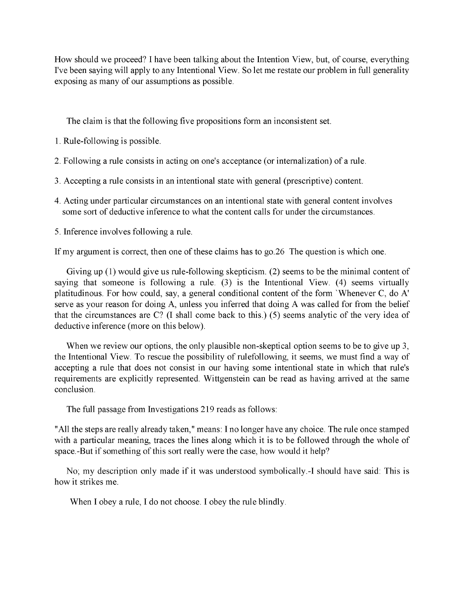How should we proceed? I have been talking about the Intention View, but, of course, everything I've been saying will apply to any Intentional View. So let me restate our problem in full generality exposing as many of our assumptions as possible.

The claim is that the following five propositions form an inconsistent set.

- 1. Rule-following is possible.
- 2. Following a rule consists in acting on one's acceptance (or internalization) of a rule.
- 3. Accepting a rule consists in an intentional state with general (prescriptive) content.
- 4. Acting under particular circumstances on an intentional state with general content involves some sort of deductive inference to what the content calls for under the circumstances.
- 5. Inference involves following a rule.

If my argument is correct, then one of these claims has to go.26 The question is which one.

Giving up (1) would give us rule-following skepticism. (2) seems to be the minimal content of saying that someone is following a rule. (3) is the Intentional View. (4) seems virtually platitudinous. For how could, say, a general conditional content of the form 'Whenever C, do A' serve as your reason for doing A, unless you inferred that doing A was called for from the belief that the circumstances are C? (I shall come back to this.) (5) seems analytic of the very idea of deductive inference (more on this below).

When we review our options, the only plausible non-skeptical option seems to be to give up 3, the Intentional View. To rescue the possibility of rulefollowing, it seems, we must find a way of accepting a rule that does not consist in our having some intentional state in which that rule's requirements are explicitly represented. Wittgenstein can be read as having arrived at the same conclusion.

The full passage from Investigations 219 reads as follows:

"All the steps are really already taken," means: I no longer have any choice. The rule once stamped with a particular meaning, traces the lines along which it is to be followed through the whole of space.-But if something of this sort really were the case, how would it help?

No; my description only made if it was understood symbolically.-I should have said: This is how it strikes me.

When I obey a rule, I do not choose. I obey the rule blindly.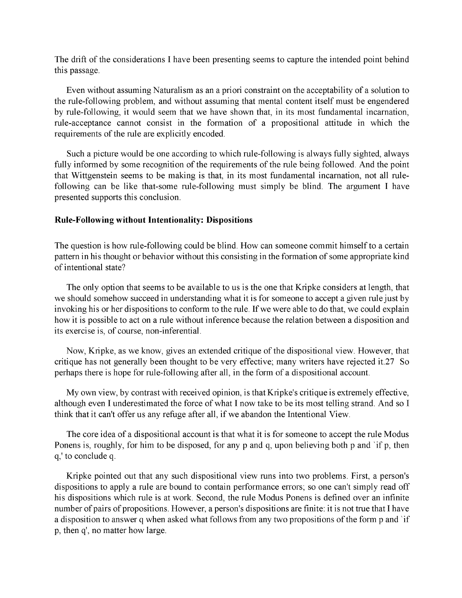The drift of the considerations I have been presenting seems to capture the intended point behind this passage.

Even without assuming Naturalism as an a priori constraint on the acceptability of a solution to the rule-following problem, and without assuming that mental content itself must be engendered by rule-following, it would seem that we have shown that, in its most fundamental incarnation, rule-acceptance cannot consist in the formation of a propositional attitude in which the requirements of the rule are explicitly encoded.

Such a picture would be one according to which rule-following is always fully sighted, always fully informed by some recognition of the requirements of the rule being followed. And the point that Wittgenstein seems to be making is that, in its most fundamental incarnation, not all rulefollowing can be like that-some rule-following must simply be blind. The argument I have presented supports this conclusion.

## Rule-Following without Intentionality: Dispositions

The question is how rule-following could be blind. How can someone commit himself to a certain pattern in his thought or behavior without this consisting in the formation of some appropriate kind of intentional state?

The only option that seems to be available to us is the one that Kripke considers at length, that we should somehow succeed in understanding what it is for someone to accept a given rule just by invoking his or her dispositions to conform to the rule. If we were able to do that, we could explain how it is possible to act on a rule without inference because the relation between a disposition and its exercise is, of course, non-inferential.

Now, Kripke, as we know, gives an extended critique of the dispositional view. However, that critique has not generally been thought to be very effective; many writers have rejected it.27 So perhaps there is hope for rule-following after all, in the form of a dispositional account.

My own view, by contrast with received opinion, is that Kripke's critique is extremely effective, although even I underestimated the force of what I now take to be its most telling strand. And so I think that it can't offer us any refuge after all, if we abandon the Intentional View.

The core idea of a dispositional account is that what it is for someone to accept the rule Modus Ponens is, roughly, for him to be disposed, for any p and q, upon believing both p and 'if p, then q,' to conclude q.

Kripke pointed out that any such dispositional view runs into two problems. First, a person's dispositions to apply a rule are bound to contain performance errors; so one can't simply read off his dispositions which rule is at work. Second, the rule Modus Ponens is defined over an infinite number of pairs of propositions. However, a person's dispositions are finite: it is not true that I have a disposition to answer q when asked what follows from any two propositions of the form p and 'if p, then q', no matter how large.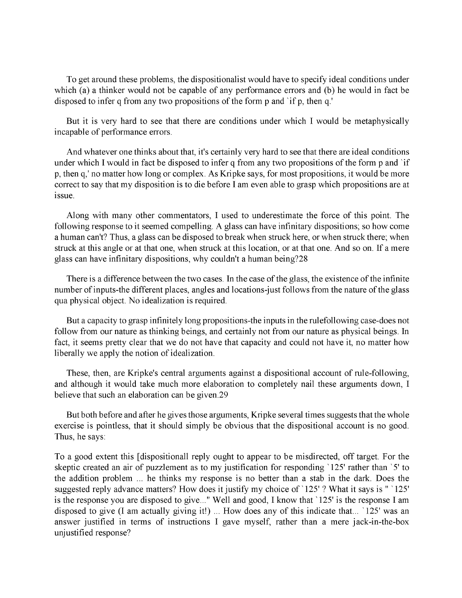To get around these problems, the dispositionalist would have to specify ideal conditions under which (a) a thinker would not be capable of any performance errors and (b) he would in fact be disposed to infer q from any two propositions of the form  $p$  and 'if  $p$ , then  $q$ .'

But it is very hard to see that there are conditions under which I would be metaphysically incapable of performance errors.

And whatever one thinks about that, it's certainly very hard to see that there are ideal conditions under which I would in fact be disposed to infer q from any two propositions of the form p and 'if p, then q,' no matter how long or complex. As Kripke says, for most propositions, it would be more correct to say that my disposition is to die before I am even able to grasp which propositions are at issue.

Along with many other commentators, I used to underestimate the force of this point. The following response to it seemed compelling. A glass can have infinitary dispositions; so how come a human can't? Thus, a glass can be disposed to break when struck here, or when struck there; when struck at this angle or at that one, when struck at this location, or at that one. And so on. If a mere glass can have infinitary dispositions, why couldn't a human being?28

There is a difference between the two cases. In the case of the glass, the existence of the infinite number of inputs-the different places, angles and locations-just follows from the nature of the glass qua physical object. No idealization is required.

But a capacity to grasp infinitely long propositions-the inputs in the rulefollowing case-does not follow from our nature as thinking beings, and certainly not from our nature as physical beings. In fact, it seems pretty clear that we do not have that capacity and could not have it, no matter how liberally we apply the notion of idealization.

These, then, are Kripke's central arguments against a dispositional account of rule-following, and although it would take much more elaboration to completely nail these arguments down, I believe that such an elaboration can be given.29

But both before and after he gives those arguments, Kripke several times suggests that the whole exercise is pointless, that it should simply be obvious that the dispositional account is no good. Thus, he says:

To a good extent this [dispositionall reply ought to appear to be misdirected, off target. For the skeptic created an air of puzzlement as to my justification for responding '125' rather than '5' to the addition problem ... he thinks my response is no better than a stab in the dark. Does the suggested reply advance matters? How does it justify my choice of '125' ? What it says is " '125' is the response you are disposed to give..." Well and good, I know that '125' is the response I am disposed to give (I am actually giving it!) ... How does any of this indicate that... '125' was an answer justified in terms of instructions I gave myself, rather than a mere jack-in-the-box unjustified response?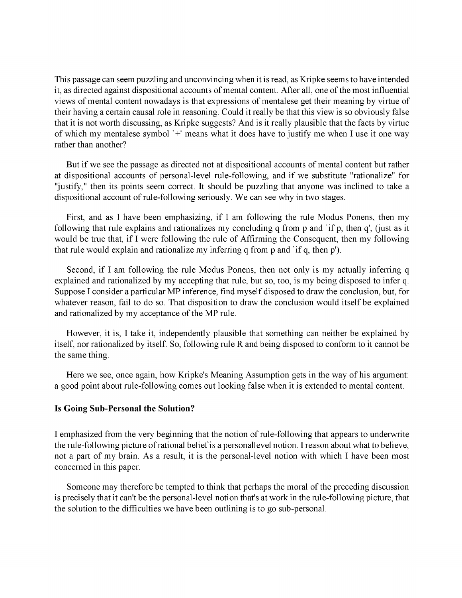This passage can seem puzzling and unconvincing when it is read, as Kripke seems to have intended it, as directed against dispositional accounts of mental content. After all, one of the most influential views of mental content nowadays is that expressions of mentalese get their meaning by virtue of their having a certain causal role in reasoning. Could it really be that this view is so obviously false that it is not worth discussing, as Kripke suggests? And is it really plausible that the facts by virtue of which my mentalese symbol  $+$  means what it does have to justify me when I use it one way rather than another?

But if we see the passage as directed not at dispositional accounts of mental content but rather at dispositional accounts of personal-level rule-following, and if we substitute "rationalize" for "justify," then its points seem correct. It should be puzzling that anyone was inclined to take a dispositional account of rule-following seriously. We can see why in two stages.

First, and as I have been emphasizing, if I am following the rule Modus Ponens, then my following that rule explains and rationalizes my concluding q from p and 'if p, then q', (just as it would be true that, if I were following the rule of Affirming the Consequent, then my following that rule would explain and rationalize my inferring q from p and 'if q, then p').

Second, if I am following the rule Modus Ponens, then not only is my actually inferring q explained and rationalized by my accepting that rule, but so, too, is my being disposed to infer q. Suppose I consider a particular MP inference, find myself disposed to draw the conclusion, but, for whatever reason, fail to do so. That disposition to draw the conclusion would itself be explained and rationalized by my acceptance of the MP rule.

However, it is, I take it, independently plausible that something can neither be explained by itself, nor rationalized by itself. So, following rule R and being disposed to conform to it cannot be the same thing.

Here we see, once again, how Kripke's Meaning Assumption gets in the way of his argument: a good point about rule-following comes out looking false when it is extended to mental content.

## Is Going Sub-Personal the Solution?

I emphasized from the very beginning that the notion of rule-following that appears to underwrite the rule-following picture of rational belief is a personallevel notion. I reason about what to believe, not a part of my brain. As a result, it is the personal-level notion with which I have been most concerned in this paper.

Someone may therefore be tempted to think that perhaps the moral of the preceding discussion is precisely that it can't be the personal-level notion that's at work in the rule-following picture, that the solution to the difficulties we have been outlining is to go sub-personal.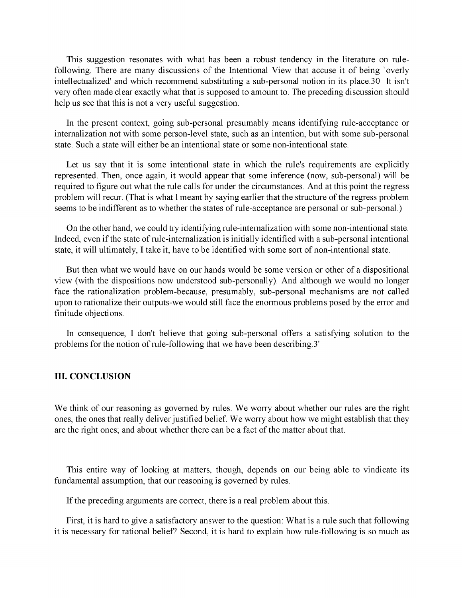This suggestion resonates with what has been a robust tendency in the literature on rulefollowing. There are many discussions of the Intentional View that accuse it of being 'overly intellectualized' and which recommend substituting a sub-personal notion in its place.30 It isn't very often made clear exactly what that is supposed to amount to. The preceding discussion should help us see that this is not a very useful suggestion.

In the present context, going sub-personal presumably means identifying rule-acceptance or internalization not with some person-level state, such as an intention, but with some sub-personal state. Such a state will either be an intentional state or some non-intentional state.

Let us say that it is some intentional state in which the rule's requirements are explicitly represented. Then, once again, it would appear that some inference (now, sub-personal) will be required to figure out what the rule calls for under the circumstances. And at this point the regress problem will recur. (That is what I meant by saying earlier that the structure of the regress problem seems to be indifferent as to whether the states of rule-acceptance are personal or sub-personal.)

On the other hand, we could try identifying rule-internalization with some non-intentional state. Indeed, even if the state of rule-internalization is initially identified with a sub-personal intentional state, it will ultimately, I take it, have to be identified with some sort of non-intentional state.

But then what we would have on our hands would be some version or other of a dispositional view (with the dispositions now understood sub-personally). And although we would no longer face the rationalization problem-because, presumably, sub-personal mechanisms are not called upon to rationalize their outputs-we would still face the enormous problems posed by the error and finitude objections.

In consequence, I don't believe that going sub-personal offers a satisfying solution to the problems for the notion of rule-following that we have been describing.3'

#### III. CONCLUSION

We think of our reasoning as governed by rules. We worry about whether our rules are the right ones, the ones that really deliver justified belief. We worry about how we might establish that they are the right ones; and about whether there can be a fact of the matter about that.

This entire way of looking at matters, though, depends on our being able to vindicate its fundamental assumption, that our reasoning is governed by rules.

If the preceding arguments are correct, there is a real problem about this.

First, it is hard to give a satisfactory answer to the question: What is a rule such that following it is necessary for rational belief? Second, it is hard to explain how rule-following is so much as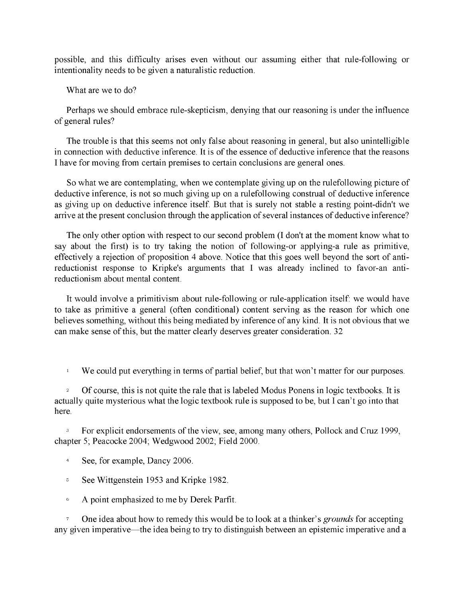possible, and this difficulty arises even without our assuming either that rule-following or intentionality needs to be given a naturalistic reduction.

What are we to do?

Perhaps we should embrace rule-skepticism, denying that our reasoning is under the influence of general rules?

The trouble is that this seems not only false about reasoning in general, but also unintelligible in connection with deductive inference. It is of the essence of deductive inference that the reasons I have for moving from certain premises to certain conclusions are general ones.

So what we are contemplating, when we contemplate giving up on the rulefollowing picture of deductive inference, is not so much giving up on a rulefollowing construal of deductive inference as giving up on deductive inference itself. But that is surely not stable a resting point-didn't we arrive at the present conclusion through the application of several instances of deductive inference?

The only other option with respect to our second problem (I don't at the moment know what to say about the first) is to try taking the notion of following-or applying-a rule as primitive, effectively a rejection of proposition 4 above. Notice that this goes well beyond the sort of antireductionist response to Kripke's arguments that I was already inclined to favor-an antireductionism about mental content.

It would involve a primitivism about rule-following or rule-application itself: we would have to take as primitive a general (often conditional) content serving as the reason for which one believes something, without this being mediated by inference of any kind. It is not obvious that we can make sense of this, but the matter clearly deserves greater consideration. 32

<sup>1</sup> We could put everything in terms of partial belief, but that won't matter for our purposes. We could put everything in terms of  $\mathbf{w}$  we could put everywong.

<sup>2</sup> Of course, this is not quite the rale that is labeled Modus Ponens in logic textbooks. It is actually quite mysterious what the logic textbook rule is supposed to be, but I can't go into that here. The logic text book rules where  $\mathcal{L}$ actually quite infinite house

<sup>3</sup> For explicit endorsements of the view, see, among many others, Pollock and Cruz 1999, chapter 5; Peacocke 2004; Wedgwood 2002; Field 2000.  $\frac{1}{2}$  and  $\frac{1}{2}$  and  $\frac{1}{2}$  and  $\frac{1}{2}$  and  $\frac{1}{2}$  and  $\frac{1}{2}$ 

<sup>4</sup> See, for example, Dancy 2006. See, for example, Dancy 2006.

<sup>5</sup> See Wittgenstein 1953 and Kripke 1982. See Wittgenstein 1953 and Kripke 1982.

<sup>6</sup> A point emphasized to me by Derek Parfit. A point emphasized to me by Derek Parfit.

<sup>7</sup> One idea about how to remedy this would be to look at a thinker's grounds for accepting any given imperative—the idea being to try to distinguish between an epistemic imperative and a any given imperative—the rue  $\alpha$  being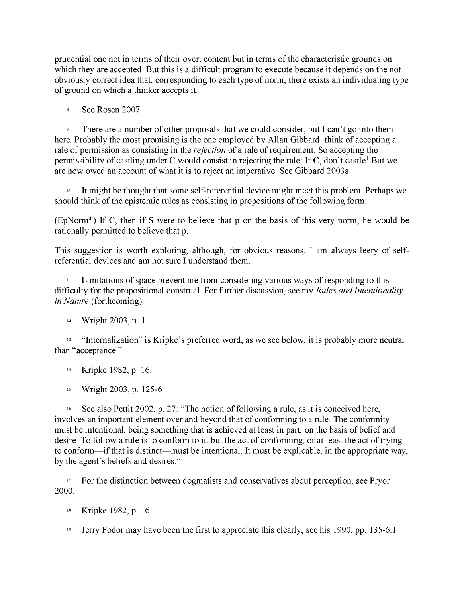prudential one not in terms of their overt content but in terms of the characteristic grounds on which they are accepted. But this is a difficult program to execute because it depends on the not obviously correct idea that, corresponding to each type of norm, there exists an individuating type of ground on which a thinker accepts it.

<sup>8</sup> See Rosen 2007. See Rosen 2007.

<sup>9</sup> There are a number of other proposals that we could consider, but I can't go into them There are a number of other proposals here. Probably the most promising is the one employed by Allan Gibbard: think of accepting a rale of permission as consisting in the *rejection* of a rale of requirement. So accepting the permissibility of castling under C would consist in rejecting the rale: If C, don't castle<sup>1</sup> But we permissionly or casaing and to would consist in rejecting the rate. If  $\sigma$ , don't be are now owed an account of what it is to reject an imperative. See Gibbard 2003a.  $\frac{1}{2}$  into the most profit are now owed an account of wr

<sup>10</sup> It might be thought that some self-referential device might meet this problem. Perhaps we should think of the epistemic rules as consisting in propositions of the following form: should mink of the epistemic rul reference monger to should think of the episteme rules

 $(EpNorm^*)$  If C, then if S were to believe that p on the basis of this very norm, he would be rationally permitted to believe that  $p$ . rationary permitted to believe the

This suggestion is worth exploring, although, for obvious reasons, I am always leery of selfreferential devices and am not sure I understand them. referential devices and all no

<sup>11</sup> Limitations of space prevent me from considering various ways of responding to this difficulty for the propositional construal. For further discussion, see my *Rules and Intentionality* in Nature (forthcoming). difficulty for the propositional my Rules and Intentionality in Nature

 $12$  Wright 2003, p. 1.

<sup>13</sup> "Internalization" is Kripke's preferred word, as we see below; it is probably more neutral than "acceptance." man acceptance."

<sup>14</sup> Kripke 1982, p. 16. Kripke 1982, p. 16.

<sup>15</sup> Wright 2003, p. 125-6 Wright 2003, p. 125-6

 $16$  See also Pettit 2002, p. 27: "The notion of following a rule, as it is conceived here, involves an important element over and beyond that of conforming to a rule. The conformity must be intentional, being something that is achieved at least in part, on the basis of belief and desire. To follow a rule is to conform to it, but the act of conforming, or at least the act of trying to conform—if that is distinct—must be intentional. It must be explicable, in the appropriate way, by the agent's beliefs and desires." here, involves an important element over to conform—if that is distinct—  $\epsilon$  is the act of the act of the act of the act of the act of the act of the act of the act of the act of the act of the act of the act of the act of the act of the act of the act of the act of the act of the act of the

<sup>17</sup> For the distinction between dogmatists and conservatives about perception, see Pryor 2000. distinct—must be intentional. It must be Pryor 2000.  $17$  For the distinction between and conservatives about perception, see the conservatives about perception, see the conservatives of  $\sim$ 

<sup>18</sup> Kripke 1982, p. 16.

<sup>19</sup> Jerry Fodor may have been the first to appreciate this clearly; see his 1990, pp. 135-6.1 Jerry Fodor may have been the first to  $\sum_{i=1}^{n}$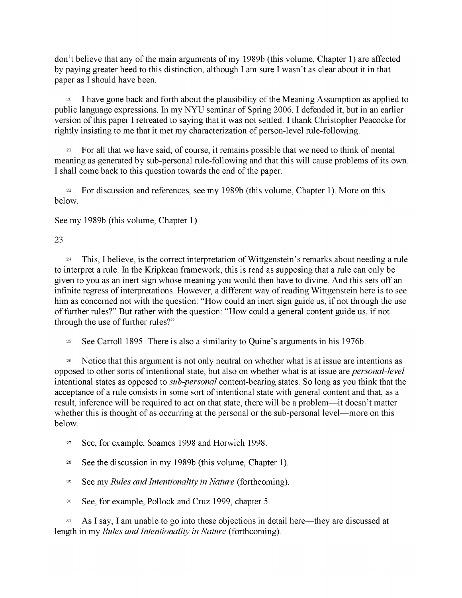don't believe that any of the main arguments of my 1989b (this volume, Chapter 1) are affected by paying greater heed to this distinction, although I am sure I wasn't as clear about it in that paper as I should have been.

<sup>20</sup> I have gone back and forth about the plausibility of the Meaning Assumption as applied to public language expressions. In my NYU seminar of Spring 2006, I defended it, but in an earlier paper anguage expressions. In my 111 C seminar or Spring 2000, I detended it, out in an earlier<br>version of this paper I retreated to saying that it was not settled. I thank Christopher Peacocke for rightly insisting to me that it met my characterization of person-level rule-following. version of this paper I retreated to say  $\mathcal{C}$  version of the this paper is paper in the this paper in the this paper is  $\mathcal{C}$ 

<sup>21</sup> For all that we have said, of course, it remains possible that we need to think of mental meaning as generated by sub-personal rule-following and that this will cause problems of its own. I shall come back to this question towards the end of the paper.  $21$  For all that we have said, I shall come back to this question meaning as generated by sub-persor will calculate problems of its own. In this own. In this own. In this own. In this own. In this own. In this own. In this own. In this own. In this own. In this own. In this own. In this own. In this own. In this own. In

 $22$  For discussion and references, see my 1989b (this volume, Chapter 1). More on this below.  $\frac{22}{100}$  For discussion and references  $t_{\rm H}$  the my  $1989$  (this volume,  $t_{\rm H}$ ) (this volume,  $t_{\rm H}$ ) (this volume,  $t_{\rm H}$ )

See my 1989b (this volume, Chapter 1). Chapter 1).

23

<sup>24</sup> This, I believe, is the correct interpretation of Wittgenstein's remarks about needing a rule to interpret a rule. In the Kripkean framework, this is read as supposing that a rule can only be given to you as an inert sign whose meaning you would then have to divine. And this sets off an infinite regress of interpretations. However, a different way of reading Wittgenstein here is to see him as concerned not with the question: "How could an inert sign guide us, if not through the use of further rules?" But rather with the question: "How could a general content guide us, if not through the use of further rules?" to interpret a rule. In the Kriph him as concerned not with the ques infough the use of further rules?

<sup>25</sup> See Carroll 1895. There is also a similarity to Quine's arguments in his 1976b. us, if not through the use of further  $\frac{1}{2}$ similarity to  $\frac{1}{2}$ 

<sup>26</sup> Notice that this argument is not only neutral on whether what is at issue are intentions as opposed to other sorts of intentional state, but also on whether what is at issue are *intentions* as<br>opposed to other sorts of intentional state, but also on whether what is at issue are *personal-level* intentional states as opposed to *sub-personal* content-bearing states. So long as you think that the  $\alpha$  acceptance of a rule consists in some sort of intentional state with general content and that, as a result, inference will be required to act on that state, there will be a problem—it doesn't matter whether this is thought of as occurring at the personal or the sub-personal level—more on this menter ans is along.  $26$  Notice that this argument is opposed to other sorts of intention acceptance of a full consists if  $\mathbf{relow}.$ 

<sup>27</sup> See, for example, Soames 1998 and Horwich 1998.  $\omega$ .  $\alpha$  and  $\gamma$   $\alpha$  $27$  See, for example, Soames 1 Horwich 1998.

<sup>28</sup> See the discussion in my 1989b (this volume, Chapter 1).  $28$  See the discussion in my 19  $\sim$   $\sim$   $\sim$   $\sim$   $\sim$   $\sim$ 

<sup>29</sup> See my *Rules and Intentionality in Nature* (forthcoming). Nature (forthcoming).

<sup>30</sup> See, for example, Pollock and Cruz 1999, chapter 5. See, for example, Pollock and Cruz 1999,  $\overline{\phantom{a}}$ 

<sup>31</sup> As I say, I am unable to go into these objections in detail here—they are discussed at As I say, I am unable to go into these length in my Rules and Intentionality in Nature (forthcoming). deligin in my Rules and Internic